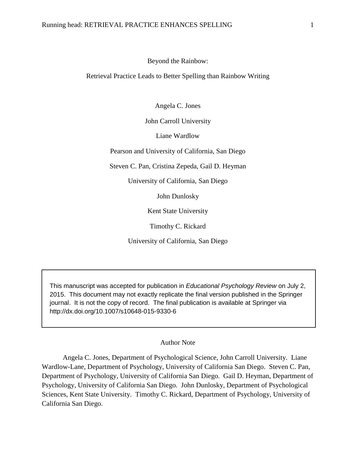## Beyond the Rainbow:

## Retrieval Practice Leads to Better Spelling than Rainbow Writing

Angela C. Jones

John Carroll University

Liane Wardlow

Pearson and University of California, San Diego

Steven C. Pan, Cristina Zepeda, Gail D. Heyman

University of California, San Diego

John Dunlosky

Kent State University

Timothy C. Rickard

University of California, San Diego

This manuscript was accepted for publication in *Educational Psychology Review* on July 2, 2015. This document may not exactly replicate the final version published in the Springer journal. It is not the copy of record. The final publication is available at Springer via http://dx.doi.org/10.1007/s10648-015-9330-6

## Author Note

 Angela C. Jones, Department of Psychological Science, John Carroll University. Liane Wardlow-Lane, Department of Psychology, University of California San Diego. Steven C. Pan, Department of Psychology, University of California San Diego. Gail D. Heyman, Department of Psychology, University of California San Diego. John Dunlosky, Department of Psychological Sciences, Kent State University. Timothy C. Rickard, Department of Psychology, University of California San Diego.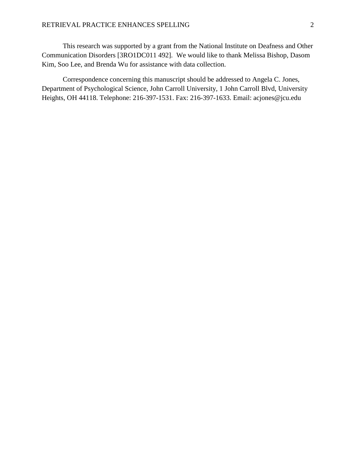This research was supported by a grant from the National Institute on Deafness and Other Communication Disorders [3RO1DC011 492]. We would like to thank Melissa Bishop, Dasom Kim, Soo Lee, and Brenda Wu for assistance with data collection.

 Correspondence concerning this manuscript should be addressed to Angela C. Jones, Department of Psychological Science, John Carroll University, 1 John Carroll Blvd, University Heights, OH 44118. Telephone: 216-397-1531. Fax: 216-397-1633. Email: acjones@jcu.edu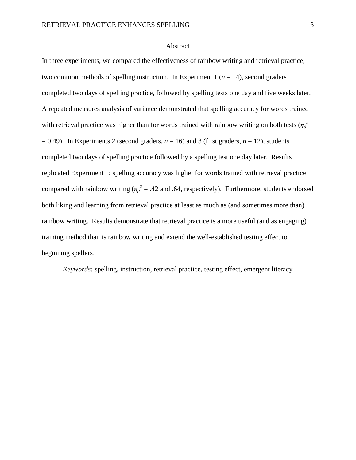## Abstract

In three experiments, we compared the effectiveness of rainbow writing and retrieval practice, two common methods of spelling instruction. In Experiment 1 ( $n = 14$ ), second graders completed two days of spelling practice, followed by spelling tests one day and five weeks later. A repeated measures analysis of variance demonstrated that spelling accuracy for words trained with retrieval practice was higher than for words trained with rainbow writing on both tests  $(\eta_p^2)$  $= 0.49$ ). In Experiments 2 (second graders,  $n = 16$ ) and 3 (first graders,  $n = 12$ ), students completed two days of spelling practice followed by a spelling test one day later. Results replicated Experiment 1; spelling accuracy was higher for words trained with retrieval practice compared with rainbow writing ( $\eta_p^2 = .42$  and .64, respectively). Furthermore, students endorsed both liking and learning from retrieval practice at least as much as (and sometimes more than) rainbow writing. Results demonstrate that retrieval practice is a more useful (and as engaging) training method than is rainbow writing and extend the well-established testing effect to beginning spellers.

*Keywords:* spelling, instruction, retrieval practice, testing effect, emergent literacy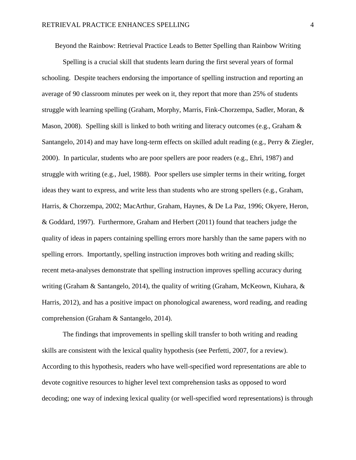Beyond the Rainbow: Retrieval Practice Leads to Better Spelling than Rainbow Writing

 Spelling is a crucial skill that students learn during the first several years of formal schooling. Despite teachers endorsing the importance of spelling instruction and reporting an average of 90 classroom minutes per week on it, they report that more than 25% of students struggle with learning spelling (Graham, Morphy, Marris, Fink-Chorzempa, Sadler, Moran, & Mason, 2008). Spelling skill is linked to both writing and literacy outcomes (e.g., Graham & Santangelo, 2014) and may have long-term effects on skilled adult reading (e.g., Perry & Ziegler, 2000). In particular, students who are poor spellers are poor readers (e.g., Ehri, 1987) and struggle with writing (e.g., Juel, 1988). Poor spellers use simpler terms in their writing, forget ideas they want to express, and write less than students who are strong spellers (e.g., Graham, Harris, & Chorzempa, 2002; MacArthur, Graham, Haynes, & De La Paz, 1996; Okyere, Heron, & Goddard, 1997). Furthermore, Graham and Herbert (2011) found that teachers judge the quality of ideas in papers containing spelling errors more harshly than the same papers with no spelling errors. Importantly, spelling instruction improves both writing and reading skills; recent meta-analyses demonstrate that spelling instruction improves spelling accuracy during writing (Graham & Santangelo, 2014), the quality of writing (Graham, McKeown, Kiuhara, & Harris, 2012), and has a positive impact on phonological awareness, word reading, and reading comprehension (Graham & Santangelo, 2014).

The findings that improvements in spelling skill transfer to both writing and reading skills are consistent with the lexical quality hypothesis (see Perfetti, 2007, for a review). According to this hypothesis, readers who have well-specified word representations are able to devote cognitive resources to higher level text comprehension tasks as opposed to word decoding; one way of indexing lexical quality (or well-specified word representations) is through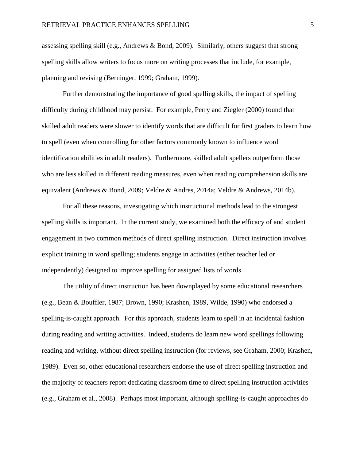assessing spelling skill (e.g., Andrews & Bond, 2009). Similarly, others suggest that strong spelling skills allow writers to focus more on writing processes that include, for example, planning and revising (Berninger, 1999; Graham, 1999).

Further demonstrating the importance of good spelling skills, the impact of spelling difficulty during childhood may persist. For example, Perry and Ziegler (2000) found that skilled adult readers were slower to identify words that are difficult for first graders to learn how to spell (even when controlling for other factors commonly known to influence word identification abilities in adult readers). Furthermore, skilled adult spellers outperform those who are less skilled in different reading measures, even when reading comprehension skills are equivalent (Andrews & Bond, 2009; Veldre & Andres, 2014a; Veldre & Andrews, 2014b).

For all these reasons, investigating which instructional methods lead to the strongest spelling skills is important. In the current study, we examined both the efficacy of and student engagement in two common methods of direct spelling instruction. Direct instruction involves explicit training in word spelling; students engage in activities (either teacher led or independently) designed to improve spelling for assigned lists of words.

The utility of direct instruction has been downplayed by some educational researchers (e.g., Bean & Bouffler, 1987; Brown, 1990; Krashen, 1989, Wilde, 1990) who endorsed a spelling-is-caught approach. For this approach, students learn to spell in an incidental fashion during reading and writing activities. Indeed, students do learn new word spellings following reading and writing, without direct spelling instruction (for reviews, see Graham, 2000; Krashen, 1989). Even so, other educational researchers endorse the use of direct spelling instruction and the majority of teachers report dedicating classroom time to direct spelling instruction activities (e.g., Graham et al., 2008). Perhaps most important, although spelling-is-caught approaches do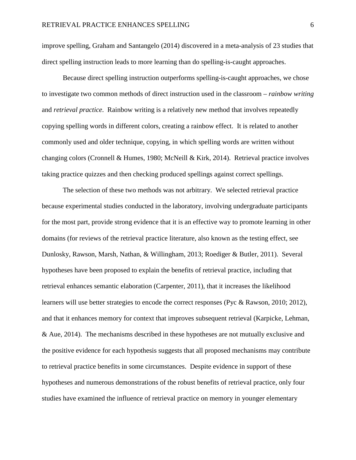improve spelling, Graham and Santangelo (2014) discovered in a meta-analysis of 23 studies that direct spelling instruction leads to more learning than do spelling-is-caught approaches.

 Because direct spelling instruction outperforms spelling-is-caught approaches, we chose to investigate two common methods of direct instruction used in the classroom – *rainbow writing* and *retrieval practice*. Rainbow writing is a relatively new method that involves repeatedly copying spelling words in different colors, creating a rainbow effect. It is related to another commonly used and older technique, copying, in which spelling words are written without changing colors (Cronnell & Humes, 1980; McNeill & Kirk, 2014). Retrieval practice involves taking practice quizzes and then checking produced spellings against correct spellings.

The selection of these two methods was not arbitrary. We selected retrieval practice because experimental studies conducted in the laboratory, involving undergraduate participants for the most part, provide strong evidence that it is an effective way to promote learning in other domains (for reviews of the retrieval practice literature, also known as the testing effect, see Dunlosky, Rawson, Marsh, Nathan, & Willingham, 2013; Roediger & Butler, 2011). Several hypotheses have been proposed to explain the benefits of retrieval practice, including that retrieval enhances semantic elaboration (Carpenter, 2011), that it increases the likelihood learners will use better strategies to encode the correct responses (Pyc & Rawson, 2010; 2012), and that it enhances memory for context that improves subsequent retrieval (Karpicke, Lehman, & Aue, 2014). The mechanisms described in these hypotheses are not mutually exclusive and the positive evidence for each hypothesis suggests that all proposed mechanisms may contribute to retrieval practice benefits in some circumstances. Despite evidence in support of these hypotheses and numerous demonstrations of the robust benefits of retrieval practice, only four studies have examined the influence of retrieval practice on memory in younger elementary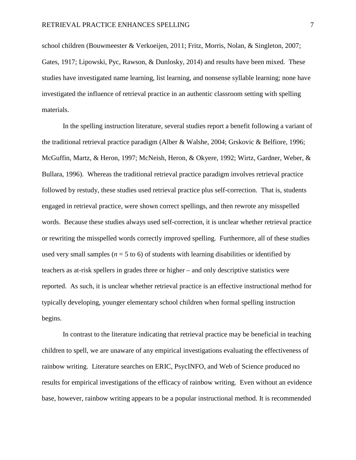school children (Bouwmeester & Verkoeijen, 2011; Fritz, Morris, Nolan, & Singleton, 2007; Gates, 1917; Lipowski, Pyc, Rawson, & Dunlosky, 2014) and results have been mixed. These studies have investigated name learning, list learning, and nonsense syllable learning; none have investigated the influence of retrieval practice in an authentic classroom setting with spelling materials.

 In the spelling instruction literature, several studies report a benefit following a variant of the traditional retrieval practice paradigm (Alber & Walshe, 2004; Grskovic & Belfiore, 1996; McGuffin, Martz, & Heron, 1997; McNeish, Heron, & Okyere, 1992; Wirtz, Gardner, Weber, & Bullara, 1996). Whereas the traditional retrieval practice paradigm involves retrieval practice followed by restudy, these studies used retrieval practice plus self-correction. That is, students engaged in retrieval practice, were shown correct spellings, and then rewrote any misspelled words. Because these studies always used self-correction, it is unclear whether retrieval practice or rewriting the misspelled words correctly improved spelling. Furthermore, all of these studies used very small samples ( $n = 5$  to 6) of students with learning disabilities or identified by teachers as at-risk spellers in grades three or higher – and only descriptive statistics were reported. As such, it is unclear whether retrieval practice is an effective instructional method for typically developing, younger elementary school children when formal spelling instruction begins.

 In contrast to the literature indicating that retrieval practice may be beneficial in teaching children to spell, we are unaware of any empirical investigations evaluating the effectiveness of rainbow writing. Literature searches on ERIC, PsycINFO, and Web of Science produced no results for empirical investigations of the efficacy of rainbow writing. Even without an evidence base, however, rainbow writing appears to be a popular instructional method. It is recommended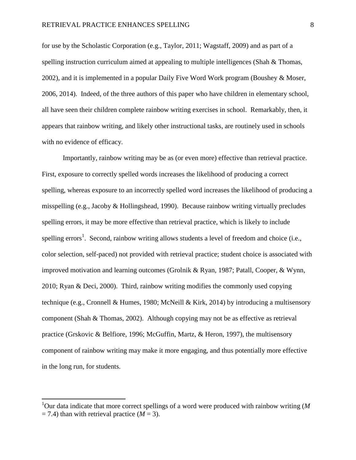for use by the Scholastic Corporation (e.g., Taylor, 2011; Wagstaff, 2009) and as part of a spelling instruction curriculum aimed at appealing to multiple intelligences (Shah & Thomas, 2002), and it is implemented in a popular Daily Five Word Work program (Boushey & Moser, 2006, 2014). Indeed, of the three authors of this paper who have children in elementary school, all have seen their children complete rainbow writing exercises in school. Remarkably, then, it appears that rainbow writing, and likely other instructional tasks, are routinely used in schools with no evidence of efficacy.

 Importantly, rainbow writing may be as (or even more) effective than retrieval practice. First, exposure to correctly spelled words increases the likelihood of producing a correct spelling, whereas exposure to an incorrectly spelled word increases the likelihood of producing a misspelling (e.g., Jacoby & Hollingshead, 1990). Because rainbow writing virtually precludes spelling errors, it may be more effective than retrieval practice, which is likely to include spelling errors<sup>1</sup>. Second, rainbow writing allows students a level of freedom and choice (i.e., color selection, self-paced) not provided with retrieval practice; student choice is associated with improved motivation and learning outcomes (Grolnik & Ryan, 1987; Patall, Cooper, & Wynn, 2010; Ryan & Deci, 2000). Third, rainbow writing modifies the commonly used copying technique (e.g., Cronnell & Humes, 1980; McNeill & Kirk, 2014) by introducing a multisensory component (Shah & Thomas, 2002). Although copying may not be as effective as retrieval practice (Grskovic & Belfiore, 1996; McGuffin, Martz, & Heron, 1997), the multisensory component of rainbow writing may make it more engaging, and thus potentially more effective in the long run, for students.

l

<sup>1</sup>Our data indicate that more correct spellings of a word were produced with rainbow writing (*M*  $= 7.4$ ) than with retrieval practice ( $M = 3$ ).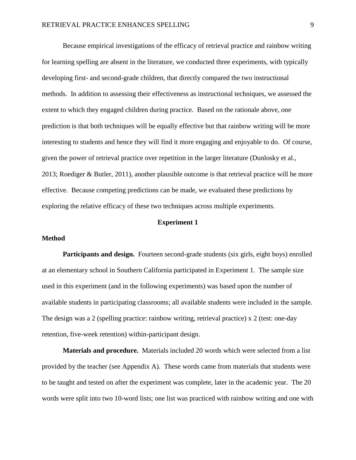Because empirical investigations of the efficacy of retrieval practice and rainbow writing for learning spelling are absent in the literature, we conducted three experiments, with typically developing first- and second-grade children, that directly compared the two instructional methods. In addition to assessing their effectiveness as instructional techniques, we assessed the extent to which they engaged children during practice. Based on the rationale above, one prediction is that both techniques will be equally effective but that rainbow writing will be more interesting to students and hence they will find it more engaging and enjoyable to do. Of course, given the power of retrieval practice over repetition in the larger literature (Dunlosky et al., 2013; Roediger & Butler, 2011), another plausible outcome is that retrieval practice will be more effective. Because competing predictions can be made, we evaluated these predictions by exploring the relative efficacy of these two techniques across multiple experiments.

## **Experiment 1**

## **Method**

**Participants and design.** Fourteen second-grade students (six girls, eight boys) enrolled at an elementary school in Southern California participated in Experiment 1. The sample size used in this experiment (and in the following experiments) was based upon the number of available students in participating classrooms; all available students were included in the sample. The design was a 2 (spelling practice: rainbow writing, retrieval practice) x 2 (test: one-day retention, five-week retention) within-participant design.

**Materials and procedure.** Materials included 20 words which were selected from a list provided by the teacher (see Appendix A). These words came from materials that students were to be taught and tested on after the experiment was complete, later in the academic year. The 20 words were split into two 10-word lists; one list was practiced with rainbow writing and one with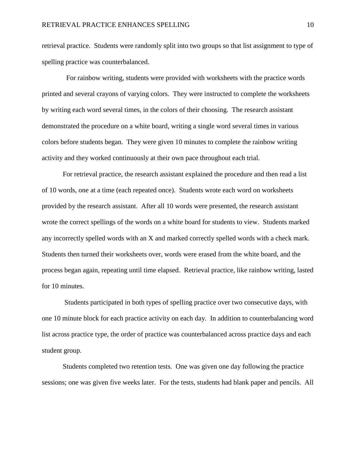retrieval practice. Students were randomly split into two groups so that list assignment to type of spelling practice was counterbalanced.

 For rainbow writing, students were provided with worksheets with the practice words printed and several crayons of varying colors. They were instructed to complete the worksheets by writing each word several times, in the colors of their choosing. The research assistant demonstrated the procedure on a white board, writing a single word several times in various colors before students began. They were given 10 minutes to complete the rainbow writing activity and they worked continuously at their own pace throughout each trial.

 For retrieval practice, the research assistant explained the procedure and then read a list of 10 words, one at a time (each repeated once). Students wrote each word on worksheets provided by the research assistant. After all 10 words were presented, the research assistant wrote the correct spellings of the words on a white board for students to view. Students marked any incorrectly spelled words with an X and marked correctly spelled words with a check mark. Students then turned their worksheets over, words were erased from the white board, and the process began again, repeating until time elapsed. Retrieval practice, like rainbow writing, lasted for 10 minutes.

 Students participated in both types of spelling practice over two consecutive days, with one 10 minute block for each practice activity on each day. In addition to counterbalancing word list across practice type, the order of practice was counterbalanced across practice days and each student group.

 Students completed two retention tests. One was given one day following the practice sessions; one was given five weeks later. For the tests, students had blank paper and pencils. All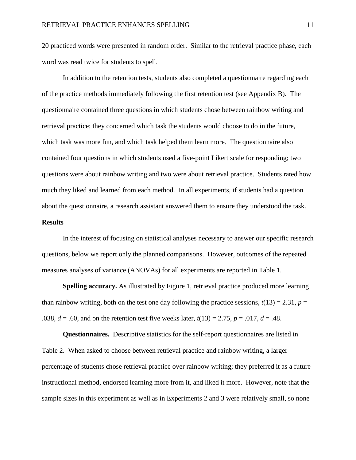20 practiced words were presented in random order. Similar to the retrieval practice phase, each word was read twice for students to spell.

 In addition to the retention tests, students also completed a questionnaire regarding each of the practice methods immediately following the first retention test (see Appendix B). The questionnaire contained three questions in which students chose between rainbow writing and retrieval practice; they concerned which task the students would choose to do in the future, which task was more fun, and which task helped them learn more. The questionnaire also contained four questions in which students used a five-point Likert scale for responding; two questions were about rainbow writing and two were about retrieval practice. Students rated how much they liked and learned from each method. In all experiments, if students had a question about the questionnaire, a research assistant answered them to ensure they understood the task.

## **Results**

In the interest of focusing on statistical analyses necessary to answer our specific research questions, below we report only the planned comparisons. However, outcomes of the repeated measures analyses of variance (ANOVAs) for all experiments are reported in Table 1.

**Spelling accuracy.** As illustrated by Figure 1, retrieval practice produced more learning than rainbow writing, both on the test one day following the practice sessions,  $t(13) = 2.31$ ,  $p =$ .038,  $d = .60$ , and on the retention test five weeks later,  $t(13) = 2.75$ ,  $p = .017$ ,  $d = .48$ .

**Questionnaires.** Descriptive statistics for the self-report questionnaires are listed in Table 2. When asked to choose between retrieval practice and rainbow writing, a larger percentage of students chose retrieval practice over rainbow writing; they preferred it as a future instructional method, endorsed learning more from it, and liked it more. However, note that the sample sizes in this experiment as well as in Experiments 2 and 3 were relatively small, so none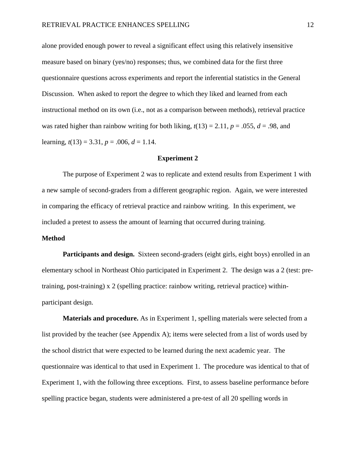alone provided enough power to reveal a significant effect using this relatively insensitive measure based on binary (yes/no) responses; thus, we combined data for the first three questionnaire questions across experiments and report the inferential statistics in the General Discussion. When asked to report the degree to which they liked and learned from each instructional method on its own (i.e., not as a comparison between methods), retrieval practice was rated higher than rainbow writing for both liking,  $t(13) = 2.11$ ,  $p = .055$ ,  $d = .98$ , and learning,  $t(13) = 3.31$ ,  $p = .006$ ,  $d = 1.14$ .

## **Experiment 2**

 The purpose of Experiment 2 was to replicate and extend results from Experiment 1 with a new sample of second-graders from a different geographic region. Again, we were interested in comparing the efficacy of retrieval practice and rainbow writing. In this experiment, we included a pretest to assess the amount of learning that occurred during training.

## **Method**

**Participants and design.** Sixteen second-graders (eight girls, eight boys) enrolled in an elementary school in Northeast Ohio participated in Experiment 2. The design was a 2 (test: pretraining, post-training) x 2 (spelling practice: rainbow writing, retrieval practice) withinparticipant design.

**Materials and procedure.** As in Experiment 1, spelling materials were selected from a list provided by the teacher (see Appendix A); items were selected from a list of words used by the school district that were expected to be learned during the next academic year. The questionnaire was identical to that used in Experiment 1. The procedure was identical to that of Experiment 1, with the following three exceptions. First, to assess baseline performance before spelling practice began, students were administered a pre-test of all 20 spelling words in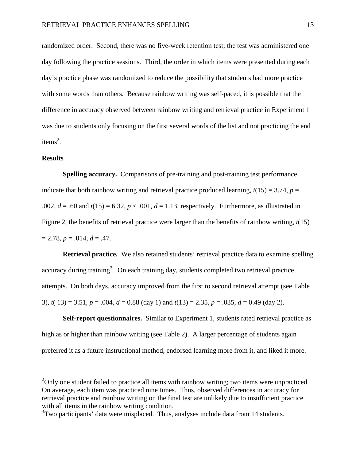randomized order. Second, there was no five-week retention test; the test was administered one day following the practice sessions. Third, the order in which items were presented during each day's practice phase was randomized to reduce the possibility that students had more practice with some words than others. Because rainbow writing was self-paced, it is possible that the difference in accuracy observed between rainbow writing and retrieval practice in Experiment 1 was due to students only focusing on the first several words of the list and not practicing the end items<sup>2</sup>.

## **Results**

 $\overline{a}$ 

 **Spelling accuracy.** Comparisons of pre-training and post-training test performance indicate that both rainbow writing and retrieval practice produced learning,  $t(15) = 3.74$ ,  $p =$ .002,  $d = .60$  and  $t(15) = 6.32$ ,  $p < .001$ ,  $d = 1.13$ , respectively. Furthermore, as illustrated in Figure 2, the benefits of retrieval practice were larger than the benefits of rainbow writing, *t*(15)  $= 2.78, p = .014, d = .47.$ 

**Retrieval practice.** We also retained students' retrieval practice data to examine spelling accuracy during training<sup>3</sup>. On each training day, students completed two retrieval practice attempts. On both days, accuracy improved from the first to second retrieval attempt (see Table 3),  $t(13) = 3.51$ ,  $p = .004$ ,  $d = 0.88$  (day 1) and  $t(13) = 2.35$ ,  $p = .035$ ,  $d = 0.49$  (day 2).

**Self-report questionnaires.** Similar to Experiment 1, students rated retrieval practice as high as or higher than rainbow writing (see Table 2). A larger percentage of students again preferred it as a future instructional method, endorsed learning more from it, and liked it more.

 $^{2}$ Only one student failed to practice all items with rainbow writing; two items were unpracticed. On average, each item was practiced nine times. Thus, observed differences in accuracy for retrieval practice and rainbow writing on the final test are unlikely due to insufficient practice with all items in the rainbow writing condition.

 $3$ Two participants' data were misplaced. Thus, analyses include data from 14 students.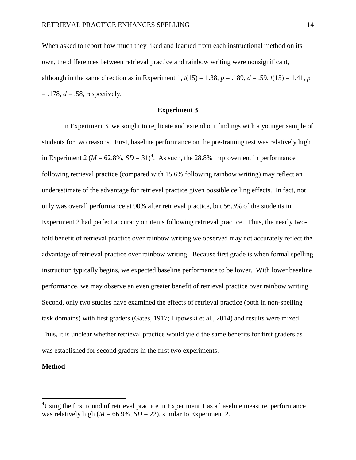When asked to report how much they liked and learned from each instructional method on its own, the differences between retrieval practice and rainbow writing were nonsignificant, although in the same direction as in Experiment 1,  $t(15) = 1.38$ ,  $p = .189$ ,  $d = .59$ ,  $t(15) = 1.41$ ,  $p = .189$  $=$  .178,  $d = .58$ , respectively.

## **Experiment 3**

 In Experiment 3, we sought to replicate and extend our findings with a younger sample of students for two reasons. First, baseline performance on the pre-training test was relatively high in Experiment 2 ( $M = 62.8\%$ ,  $SD = 31$ )<sup>4</sup>. As such, the 28.8% improvement in performance following retrieval practice (compared with 15.6% following rainbow writing) may reflect an underestimate of the advantage for retrieval practice given possible ceiling effects. In fact, not only was overall performance at 90% after retrieval practice, but 56.3% of the students in Experiment 2 had perfect accuracy on items following retrieval practice. Thus, the nearly twofold benefit of retrieval practice over rainbow writing we observed may not accurately reflect the advantage of retrieval practice over rainbow writing. Because first grade is when formal spelling instruction typically begins, we expected baseline performance to be lower. With lower baseline performance, we may observe an even greater benefit of retrieval practice over rainbow writing. Second, only two studies have examined the effects of retrieval practice (both in non-spelling task domains) with first graders (Gates, 1917; Lipowski et al., 2014) and results were mixed. Thus, it is unclear whether retrieval practice would yield the same benefits for first graders as was established for second graders in the first two experiments.

## **Method**

 $\overline{a}$ 

 $4$ Using the first round of retrieval practice in Experiment 1 as a baseline measure, performance was relatively high ( $M = 66.9\%$ ,  $SD = 22$ ), similar to Experiment 2.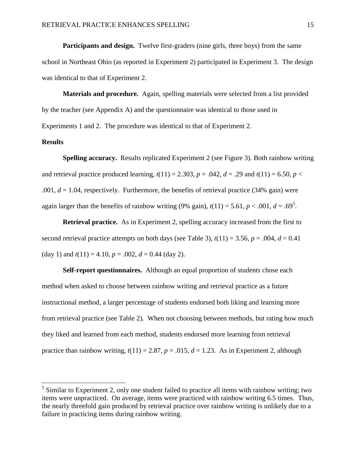**Participants and design.** Twelve first-graders (nine girls, three boys) from the same school in Northeast Ohio (as reported in Experiment 2) participated in Experiment 3. The design was identical to that of Experiment 2.

**Materials and procedure.** Again, spelling materials were selected from a list provided by the teacher (see Appendix A) and the questionnaire was identical to those used in Experiments 1 and 2. The procedure was identical to that of Experiment 2.

## **Results**

 $\overline{a}$ 

**Spelling accuracy.** Results replicated Experiment 2 (see Figure 3). Both rainbow writing and retrieval practice produced learning,  $t(11) = 2.303$ ,  $p = .042$ ,  $d = .29$  and  $t(11) = 6.50$ ,  $p <$ .001,  $d = 1.04$ , respectively. Furthermore, the benefits of retrieval practice (34% gain) were again larger than the benefits of rainbow writing (9% gain),  $t(11) = 5.61$ ,  $p < .001$ ,  $d = .69<sup>5</sup>$ .

**Retrieval practice.** As in Experiment 2, spelling accuracy increased from the first to second retrieval practice attempts on both days (see Table 3),  $t(11) = 3.56$ ,  $p = .004$ ,  $d = 0.41$ (day 1) and  $t(11) = 4.10$ ,  $p = .002$ ,  $d = 0.44$  (day 2).

**Self-report questionnaires.** Although an equal proportion of students chose each method when asked to choose between rainbow writing and retrieval practice as a future instructional method, a larger percentage of students endorsed both liking and learning more from retrieval practice (see Table 2). When not choosing between methods, but rating how much they liked and learned from each method, students endorsed more learning from retrieval practice than rainbow writing,  $t(11) = 2.87$ ,  $p = .015$ ,  $d = 1.23$ . As in Experiment 2, although

 $<sup>5</sup>$  Similar to Experiment 2, only one student failed to practice all items with rainbow writing; two</sup> items were unpracticed. On average, items were practiced with rainbow writing 6.5 times. Thus, the nearly threefold gain produced by retrieval practice over rainbow writing is unlikely due to a failure in practicing items during rainbow writing.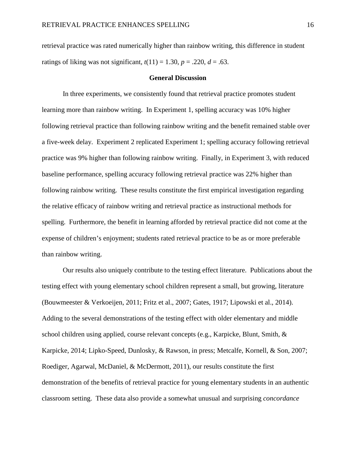retrieval practice was rated numerically higher than rainbow writing, this difference in student ratings of liking was not significant,  $t(11) = 1.30$ ,  $p = .220$ ,  $d = .63$ .

## **General Discussion**

 In three experiments, we consistently found that retrieval practice promotes student learning more than rainbow writing. In Experiment 1, spelling accuracy was 10% higher following retrieval practice than following rainbow writing and the benefit remained stable over a five-week delay. Experiment 2 replicated Experiment 1; spelling accuracy following retrieval practice was 9% higher than following rainbow writing. Finally, in Experiment 3, with reduced baseline performance, spelling accuracy following retrieval practice was 22% higher than following rainbow writing. These results constitute the first empirical investigation regarding the relative efficacy of rainbow writing and retrieval practice as instructional methods for spelling. Furthermore, the benefit in learning afforded by retrieval practice did not come at the expense of children's enjoyment; students rated retrieval practice to be as or more preferable than rainbow writing.

Our results also uniquely contribute to the testing effect literature. Publications about the testing effect with young elementary school children represent a small, but growing, literature (Bouwmeester & Verkoeijen, 2011; Fritz et al., 2007; Gates, 1917; Lipowski et al., 2014). Adding to the several demonstrations of the testing effect with older elementary and middle school children using applied, course relevant concepts (e.g., Karpicke, Blunt, Smith, & Karpicke, 2014; Lipko-Speed, Dunlosky, & Rawson, in press; Metcalfe, Kornell, & Son, 2007; Roediger, Agarwal, McDaniel, & McDermott, 2011), our results constitute the first demonstration of the benefits of retrieval practice for young elementary students in an authentic classroom setting. These data also provide a somewhat unusual and surprising *concordance*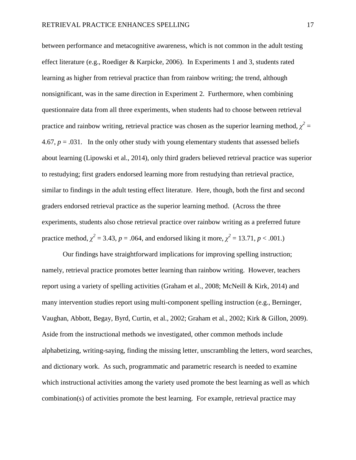between performance and metacognitive awareness, which is not common in the adult testing effect literature (e.g., Roediger & Karpicke, 2006). In Experiments 1 and 3, students rated learning as higher from retrieval practice than from rainbow writing; the trend, although nonsignificant, was in the same direction in Experiment 2. Furthermore, when combining questionnaire data from all three experiments, when students had to choose between retrieval practice and rainbow writing, retrieval practice was chosen as the superior learning method,  $\chi^2$  = 4.67,  $p = .031$ . In the only other study with young elementary students that assessed beliefs about learning (Lipowski et al., 2014), only third graders believed retrieval practice was superior to restudying; first graders endorsed learning more from restudying than retrieval practice, similar to findings in the adult testing effect literature. Here, though, both the first and second graders endorsed retrieval practice as the superior learning method. (Across the three experiments, students also chose retrieval practice over rainbow writing as a preferred future practice method,  $\chi^2 = 3.43$ ,  $p = .064$ , and endorsed liking it more,  $\chi^2 = 13.71$ ,  $p < .001$ .)

 Our findings have straightforward implications for improving spelling instruction; namely, retrieval practice promotes better learning than rainbow writing. However, teachers report using a variety of spelling activities (Graham et al., 2008; McNeill & Kirk, 2014) and many intervention studies report using multi-component spelling instruction (e.g., Berninger, Vaughan, Abbott, Begay, Byrd, Curtin, et al., 2002; Graham et al., 2002; Kirk & Gillon, 2009). Aside from the instructional methods we investigated, other common methods include alphabetizing, writing-saying, finding the missing letter, unscrambling the letters, word searches, and dictionary work. As such, programmatic and parametric research is needed to examine which instructional activities among the variety used promote the best learning as well as which combination(s) of activities promote the best learning. For example, retrieval practice may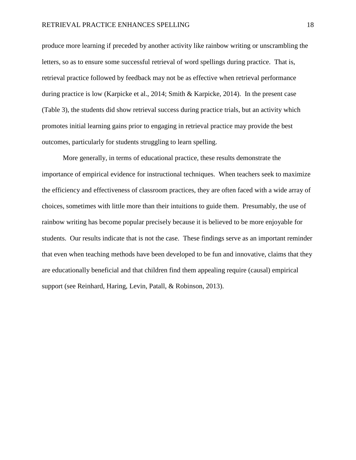produce more learning if preceded by another activity like rainbow writing or unscrambling the letters, so as to ensure some successful retrieval of word spellings during practice. That is, retrieval practice followed by feedback may not be as effective when retrieval performance during practice is low (Karpicke et al., 2014; Smith & Karpicke, 2014). In the present case (Table 3), the students did show retrieval success during practice trials, but an activity which promotes initial learning gains prior to engaging in retrieval practice may provide the best outcomes, particularly for students struggling to learn spelling.

More generally, in terms of educational practice, these results demonstrate the importance of empirical evidence for instructional techniques. When teachers seek to maximize the efficiency and effectiveness of classroom practices, they are often faced with a wide array of choices, sometimes with little more than their intuitions to guide them. Presumably, the use of rainbow writing has become popular precisely because it is believed to be more enjoyable for students. Our results indicate that is not the case. These findings serve as an important reminder that even when teaching methods have been developed to be fun and innovative, claims that they are educationally beneficial and that children find them appealing require (causal) empirical support (see Reinhard, Haring, Levin, Patall, & Robinson, 2013).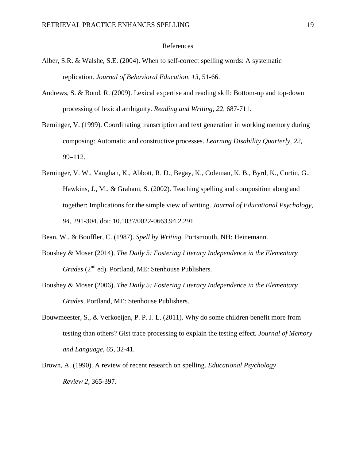#### References

- Alber, S.R. & Walshe, S.E. (2004). When to self-correct spelling words: A systematic replication. *Journal of Behavioral Education, 13*, 51-66.
- Andrews, S. & Bond, R. (2009). Lexical expertise and reading skill: Bottom-up and top-down processing of lexical ambiguity. *Reading and Writing, 22,* 687-711.
- Berninger, V. (1999). Coordinating transcription and text generation in working memory during composing: Automatic and constructive processes. *Learning Disability Quarterly, 22*, 99–112.
- Berninger, V. W., Vaughan, K., Abbott, R. D., Begay, K., Coleman, K. B., Byrd, K., Curtin, G., Hawkins, J., M., & Graham, S. (2002). Teaching spelling and composition along and together: Implications for the simple view of writing. *Journal of Educational Psychology, 94,* 291-304. doi: 10.1037/0022-0663.94.2.291
- Bean, W., & Bouffler, C. (1987). *Spell by Writing.* Portsmouth, NH: Heinemann.
- Boushey & Moser (2014). *The Daily 5: Fostering Literacy Independence in the Elementary Grades* (2<sup>nd</sup> ed). Portland, ME: Stenhouse Publishers.
- Boushey & Moser (2006). *The Daily 5: Fostering Literacy Independence in the Elementary Grades*. Portland, ME: Stenhouse Publishers.
- Bouwmeester, S., & Verkoeijen, P. P. J. L. (2011). Why do some children benefit more from testing than others? Gist trace processing to explain the testing effect. *Journal of Memory and Language, 65,* 32-41.
- Brown, A. (1990). A review of recent research on spelling. *Educational Psychology Review 2,* 365-397.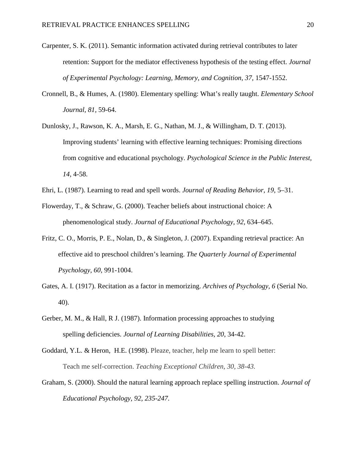- Carpenter, S. K. (2011). Semantic information activated during retrieval contributes to later retention: Support for the mediator effectiveness hypothesis of the testing effect. *Journal*  of Experimental Psychology: Learning, Memory, and Cognition, 37, 1547-1552.
- Cronnell, B., & Humes, A. (1980). Elementary spelling: What's really taught. *Elementary School Journal, 81,* 59-64.
- Dunlosky, J., Rawson, K. A., Marsh, E. G., Nathan, M. J., & Willingham, D. T. (2013). Improving students' learning with effective learning techniques: Promising directions from cognitive and educational psychology. *Psychological Science in the Public Interest, 14,* 4-58.
- Ehri, L. (1987). Learning to read and spell words. *Journal of Reading Behavior, 19*, 5–31.
- Flowerday, T., & Schraw, G. (2000). Teacher beliefs about instructional choice: A phenomenological study. *Journal of Educational Psychology, 92,* 634–645.
- Fritz, C. O., Morris, P. E., Nolan, D., & Singleton, J. (2007). Expanding retrieval practice: An effective aid to preschool children's learning. *The Quarterly Journal of Experimental Psychology, 60,* 991-1004.
- Gates, A. I. (1917). Recitation as a factor in memorizing. *Archives of Psychology, 6* (Serial No. 40).
- Gerber, M. M., & Hall, R J. (1987). Information processing approaches to studying spelling deficiencies. *Journal of Learning Disabilities, 20*, 34-42.
- Goddard, Y.L. & Heron, H.E. (1998). Pleaze, teacher, help me learn to spell better: Teach me self-correction. *Teaching Exceptional Children, 30, 38-43.*
- Graham, S. (2000). Should the natural learning approach replace spelling instruction. *Journal of Educational Psychology, 92, 235-247.*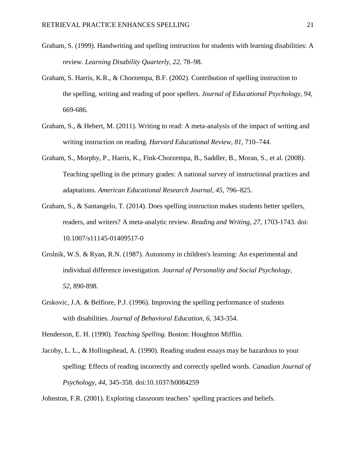- Graham, S. (1999). Handwriting and spelling instruction for students with learning disabilities: A review. *Learning Disability Quarterly, 22*, 78–98.
- Graham, S. Harris, K.R., & Chorzempa, B.F. (2002). Contribution of spelling instruction to the spelling, writing and reading of poor spellers. *Journal of Educational Psychology, 94*, 669-686.
- Graham, S., & Hebert, M. (2011). Writing to read: A meta-analysis of the impact of writing and writing instruction on reading*. Harvard Educational Review, 81*, 710–744.
- Graham, S., Morphy, P., Harris, K., Fink-Chorzempa, B., Saddler, B., Moran, S., et al. (2008). Teaching spelling in the primary grades: A national survey of instructional practices and adaptations. *American Educational Research Journal, 45,* 796–825.
- Graham, S., & Santangelo, T. (2014). Does spelling instruction makes students better spellers, readers, and writers? A meta-analytic review. *Reading and Writing, 27,* 1703-1743. doi: 10.1007/s11145-01409517-0
- Grolnik, W.S. & Ryan, R.N. (1987). Autonomy in children's learning: An experimental and individual difference investigation. *Journal of Personality and Social Psychology, 52*, 890-898.
- Grskovic, J.A. & Belfiore, P.J. (1996). Improving the spelling performance of students with disabilities. *Journal of Behavioral Education, 6,* 343-354.

Henderson, E. H. (1990). *Teaching Spelling.* Boston: Houghton Mifflin.

Jacoby, L. L., & Hollingshead, A. (1990). Reading student essays may be hazardous to your spelling: Effects of reading incorrectly and correctly spelled words. *Canadian Journal of Psychology, 44,* 345-358. doi:10.1037/h0084259

Johnston, F.R. (2001). Exploring classroom teachers' spelling practices and beliefs.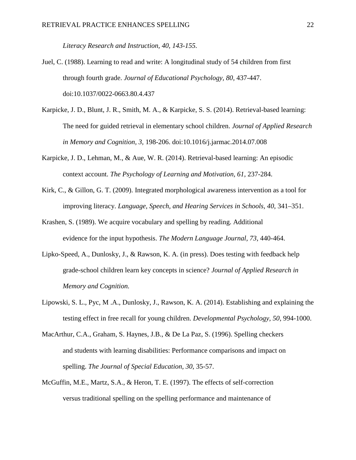*Literacy Research and Instruction, 40, 143-155.* 

- Juel, C. (1988). Learning to read and write: A longitudinal study of 54 children from first through fourth grade. *Journal of Educational Psychology, 80,* 437-447. doi:10.1037/0022-0663.80.4.437
- Karpicke, J. D., Blunt, J. R., Smith, M. A., & Karpicke, S. S. (2014). Retrieval-based learning: The need for guided retrieval in elementary school children. *Journal of Applied Research in Memory and Cognition, 3,* 198-206. doi:10.1016/j.jarmac.2014.07.008
- Karpicke, J. D., Lehman, M., & Aue, W. R. (2014). Retrieval-based learning: An episodic context account. *The Psychology of Learning and Motivation, 61,* 237-284.
- Kirk, C., & Gillon, G. T. (2009). Integrated morphological awareness intervention as a tool for improving literacy. *Language, Speech, and Hearing Services in Schools, 40*, 341–351.
- Krashen, S. (1989). We acquire vocabulary and spelling by reading. Additional evidence for the input hypothesis. *The Modern Language Journal, 73,* 440-464.
- Lipko-Speed, A., Dunlosky, J., & Rawson, K. A. (in press). Does testing with feedback help grade-school children learn key concepts in science? *Journal of Applied Research in Memory and Cognition.*
- Lipowski, S. L., Pyc, M .A., Dunlosky, J., Rawson, K. A. (2014). Establishing and explaining the testing effect in free recall for young children. *Developmental Psychology, 50,* 994-1000.
- MacArthur, C.A., Graham, S. Haynes, J.B., & De La Paz, S. (1996). Spelling checkers and students with learning disabilities: Performance comparisons and impact on spelling. *The Journal of Special Education, 30*, 35-57.
- McGuffin, M.E., Martz, S.A., & Heron, T. E. (1997). The effects of self-correction versus traditional spelling on the spelling performance and maintenance of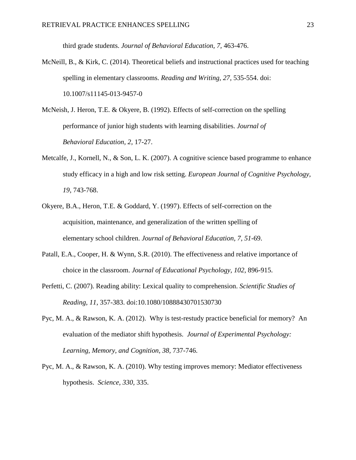third grade students. *Journal of Behavioral Education, 7,* 463-476.

- McNeill, B., & Kirk, C. (2014). Theoretical beliefs and instructional practices used for teaching spelling in elementary classrooms. *Reading and Writing, 27,* 535-554. doi: 10.1007/s11145-013-9457-0
- McNeish, J. Heron, T.E. & Okyere, B. (1992). Effects of self-correction on the spelling performance of junior high students with learning disabilities. *Journal of Behavioral Education, 2,* 17-27.
- Metcalfe, J., Kornell, N., & Son, L. K. (2007). A cognitive science based programme to enhance study efficacy in a high and low risk setting. *European Journal of Cognitive Psychology, 19,* 743-768.
- Okyere, B.A., Heron, T.E. & Goddard, Y. (1997). Effects of self-correction on the acquisition, maintenance, and generalization of the written spelling of elementary school children. *Journal of Behavioral Education, 7, 51*-69.
- Patall, E.A., Cooper, H. & Wynn, S.R. (2010). The effectiveness and relative importance of choice in the classroom. *Journal of Educational Psychology, 102*, 896-915.
- Perfetti, C. (2007). Reading ability: Lexical quality to comprehension. *Scientific Studies of Reading, 11,* 357-383. doi:10.1080/10888430701530730
- Pyc, M. A., & Rawson, K. A. (2012). Why is test-restudy practice beneficial for memory? An evaluation of the mediator shift hypothesis. *Journal of Experimental Psychology: Learning, Memory, and Cognition, 38,* 737-746.
- Pyc, M. A., & Rawson, K. A. (2010). Why testing improves memory: Mediator effectiveness hypothesis. *Science, 330,* 335.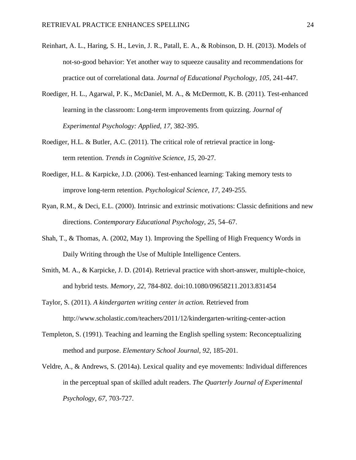- Reinhart, A. L., Haring, S. H., Levin, J. R., Patall, E. A., & Robinson, D. H. (2013). Models of not-so-good behavior: Yet another way to squeeze causality and recommendations for practice out of correlational data. *Journal of Educational Psychology, 105,* 241-447.
- Roediger, H. L., Agarwal, P. K., McDaniel, M. A., & McDermott, K. B. (2011). Test-enhanced learning in the classroom: Long-term improvements from quizzing. *Journal of Experimental Psychology: Applied, 17,* 382-395.
- Roediger, H.L. & Butler, A.C. (2011). The critical role of retrieval practice in longterm retention. *Trends in Cognitive Science, 15,* 20-27.
- Roediger, H.L. & Karpicke, J.D. (2006). Test-enhanced learning: Taking memory tests to improve long-term retention. *Psychological Science, 17*, 249-255.
- Ryan, R.M., & Deci, E.L. (2000). Intrinsic and extrinsic motivations: Classic definitions and new directions. *Contemporary Educational Psychology, 25*, 54–67.
- Shah, T., & Thomas, A. (2002, May 1). Improving the Spelling of High Frequency Words in Daily Writing through the Use of Multiple Intelligence Centers.
- Smith, M. A., & Karpicke, J. D. (2014). Retrieval practice with short-answer, multiple-choice, and hybrid tests. *Memory, 22,* 784-802. doi:10.1080/09658211.2013.831454
- Taylor, S. (2011). *A kindergarten writing center in action.* Retrieved from http://www.scholastic.com/teachers/2011/12/kindergarten-writing-center-action
- Templeton, S. (1991). Teaching and learning the English spelling system: Reconceptualizing method and purpose. *Elementary School Journal, 92,* 185-201.
- Veldre, A., & Andrews, S. (2014a). Lexical quality and eye movements: Individual differences in the perceptual span of skilled adult readers. *The Quarterly Journal of Experimental Psychology, 67,* 703-727.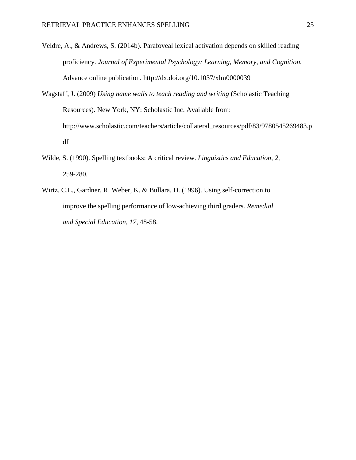- Veldre, A., & Andrews, S. (2014b). Parafoveal lexical activation depends on skilled reading proficiency. *Journal of Experimental Psychology: Learning, Memory, and Cognition.*  Advance online publication. http://dx.doi.org/10.1037/xlm0000039
- Wagstaff, J. (2009) *Using name walls to teach reading and writing* (Scholastic Teaching Resources). New York, NY: Scholastic Inc. Available from: http://www.scholastic.com/teachers/article/collateral\_resources/pdf/83/9780545269483.p df
- Wilde, S. (1990). Spelling textbooks: A critical review. *Linguistics and Education, 2,*  259-280.
- Wirtz, C.L., Gardner, R. Weber, K. & Bullara, D. (1996). Using self-correction to improve the spelling performance of low-achieving third graders. *Remedial and Special Education, 17,* 48-58.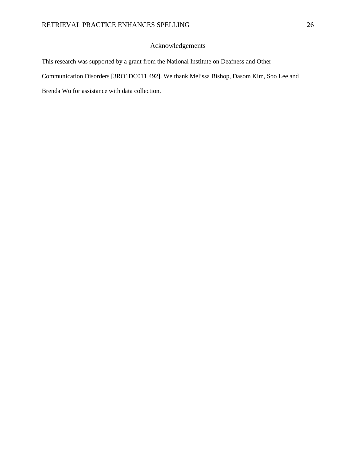## Acknowledgements

This research was supported by a grant from the National Institute on Deafness and Other Communication Disorders [3RO1DC011 492]. We thank Melissa Bishop, Dasom Kim, Soo Lee and Brenda Wu for assistance with data collection.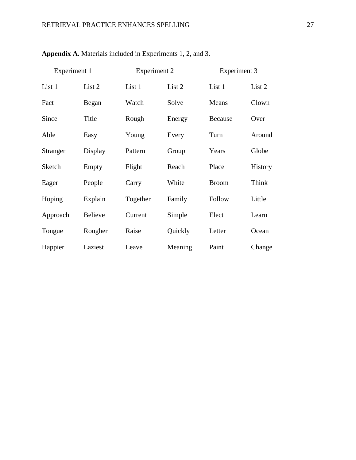| Experiment 1 |                | Experiment 2  |         | Experiment 3 |         |
|--------------|----------------|---------------|---------|--------------|---------|
| $List_1$     | List 2         | <u>List 1</u> | List 2  | $List_1$     | List 2  |
| Fact         | Began          | Watch         | Solve   | Means        | Clown   |
| Since        | Title          | Rough         | Energy  | Because      | Over    |
| Able         | Easy           | Young         | Every   | Turn         | Around  |
| Stranger     | Display        | Pattern       | Group   | Years        | Globe   |
| Sketch       | Empty          | Flight        | Reach   | Place        | History |
| Eager        | People         | Carry         | White   | <b>Broom</b> | Think   |
| Hoping       | Explain        | Together      | Family  | Follow       | Little  |
| Approach     | <b>Believe</b> | Current       | Simple  | Elect        | Learn   |
| Tongue       | Rougher        | Raise         | Quickly | Letter       | Ocean   |
| Happier      | Laziest        | Leave         | Meaning | Paint        | Change  |

**Appendix A.** Materials included in Experiments 1, 2, and 3.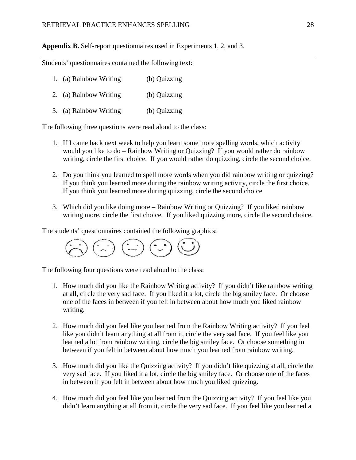**Appendix B.** Self-report questionnaires used in Experiments 1, 2, and 3.

Students' questionnaires contained the following text:

| 1. (a) Rainbow Writing | (b) Quizzing |
|------------------------|--------------|
| 2. (a) Rainbow Writing | (b) Quizzing |
| 3. (a) Rainbow Writing | (b) Quizzing |

The following three questions were read aloud to the class:

- 1. If I came back next week to help you learn some more spelling words, which activity would you like to do – Rainbow Writing or Quizzing? If you would rather do rainbow writing, circle the first choice. If you would rather do quizzing, circle the second choice.
- 2. Do you think you learned to spell more words when you did rainbow writing or quizzing? If you think you learned more during the rainbow writing activity, circle the first choice. If you think you learned more during quizzing, circle the second choice
- 3. Which did you like doing more Rainbow Writing or Quizzing? If you liked rainbow writing more, circle the first choice. If you liked quizzing more, circle the second choice.

The students' questionnaires contained the following graphics:

The following four questions were read aloud to the class:

- 1. How much did you like the Rainbow Writing activity? If you didn't like rainbow writing at all, circle the very sad face. If you liked it a lot, circle the big smiley face. Or choose one of the faces in between if you felt in between about how much you liked rainbow writing.
- 2. How much did you feel like you learned from the Rainbow Writing activity? If you feel like you didn't learn anything at all from it, circle the very sad face. If you feel like you learned a lot from rainbow writing, circle the big smiley face. Or choose something in between if you felt in between about how much you learned from rainbow writing.
- 3. How much did you like the Quizzing activity? If you didn't like quizzing at all, circle the very sad face. If you liked it a lot, circle the big smiley face. Or choose one of the faces in between if you felt in between about how much you liked quizzing.
- 4. How much did you feel like you learned from the Quizzing activity? If you feel like you didn't learn anything at all from it, circle the very sad face. If you feel like you learned a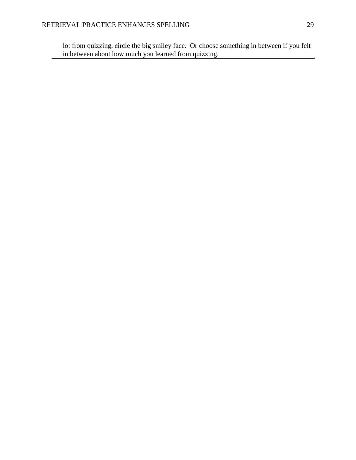lot from quizzing, circle the big smiley face. Or choose something in between if you felt in between about how much you learned from quizzing.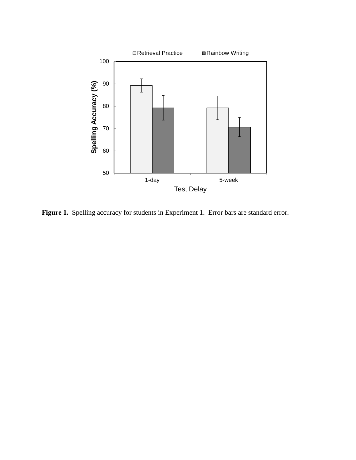

Figure 1. Spelling accuracy for students in Experiment 1. Error bars are standard error.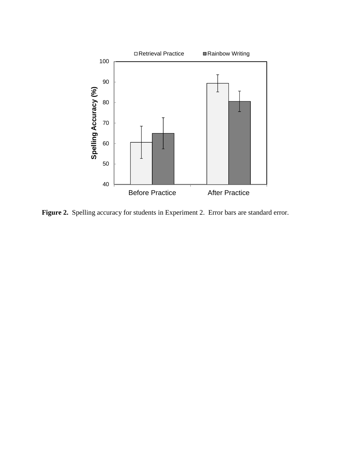

Figure 2. Spelling accuracy for students in Experiment 2. Error bars are standard error.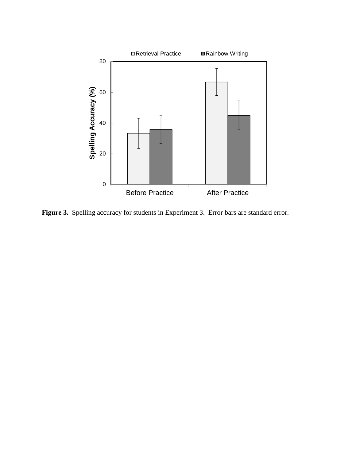

Figure 3. Spelling accuracy for students in Experiment 3. Error bars are standard error.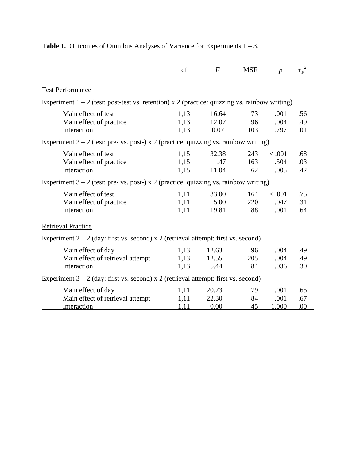|                                                                                                 | df                   | $\boldsymbol{F}$       | <b>MSE</b>       | $\boldsymbol{p}$       | 2<br>$\eta_{\rm p}$ |
|-------------------------------------------------------------------------------------------------|----------------------|------------------------|------------------|------------------------|---------------------|
| <b>Test Performance</b>                                                                         |                      |                        |                  |                        |                     |
| Experiment $1 - 2$ (test: post-test vs. retention) x 2 (practice: quizzing vs. rainbow writing) |                      |                        |                  |                        |                     |
| Main effect of test<br>Main effect of practice<br>Interaction                                   | 1,13<br>1,13<br>1,13 | 16.64<br>12.07<br>0.07 | 73<br>96<br>103  | .001<br>.004<br>.797   | .56<br>.49<br>.01   |
| Experiment $2 - 2$ (test: pre- vs. post-) x 2 (practice: quizzing vs. rainbow writing)          |                      |                        |                  |                        |                     |
| Main effect of test<br>Main effect of practice<br>Interaction                                   | 1,15<br>1,15<br>1,15 | 32.38<br>.47<br>11.04  | 243<br>163<br>62 | < .001<br>.504<br>.005 | .68<br>.03<br>.42   |
| Experiment $3 - 2$ (test: pre- vs. post-) x 2 (practice: quizzing vs. rainbow writing)          |                      |                        |                  |                        |                     |
| Main effect of test<br>Main effect of practice<br>Interaction                                   | 1,11<br>1,11<br>1,11 | 33.00<br>5.00<br>19.81 | 164<br>220<br>88 | < .001<br>.047<br>.001 | .75<br>.31<br>.64   |
| <b>Retrieval Practice</b>                                                                       |                      |                        |                  |                        |                     |
| Experiment $2 - 2$ (day: first vs. second) x 2 (retrieval attempt: first vs. second)            |                      |                        |                  |                        |                     |
| Main effect of day<br>Main effect of retrieval attempt<br>Interaction                           | 1,13<br>1,13<br>1,13 | 12.63<br>12.55<br>5.44 | 96<br>205<br>84  | .004<br>.004<br>.036   | .49<br>.49<br>.30   |
| Experiment $3 - 2$ (day: first vs. second) x 2 (retrieval attempt: first vs. second)            |                      |                        |                  |                        |                     |
| Main effect of day<br>Main effect of retrieval attempt<br>Interaction                           | 1,11<br>1,11<br>1,11 | 20.73<br>22.30<br>0.00 | 79<br>84<br>45   | .001<br>.001<br>1.000  | .65<br>.67<br>.00   |

# **Table 1.** Outcomes of Omnibus Analyses of Variance for Experiments 1 – 3.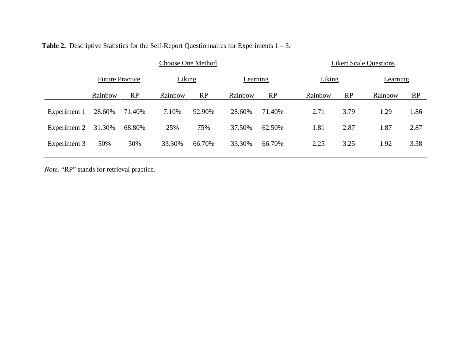|              | <b>Choose One Method</b> |           |         |        |         | <b>Likert Scale Questions</b> |         |        |         |           |  |
|--------------|--------------------------|-----------|---------|--------|---------|-------------------------------|---------|--------|---------|-----------|--|
|              | <b>Future Practice</b>   |           | Liking  |        |         | Learning                      |         | Liking |         | Learning  |  |
|              | Rainbow                  | <b>RP</b> | Rainbow | RP     | Rainbow | RP                            | Rainbow | RP     | Rainbow | <b>RP</b> |  |
| Experiment 1 | 28.60%                   | 71.40%    | 7.10%   | 92.90% | 28.60%  | 71.40%                        | 2.71    | 3.79   | 1.29    | 1.86      |  |
| Experiment 2 | 31.30%                   | 68.80%    | 25%     | 75%    | 37.50%  | 62.50%                        | 1.81    | 2.87   | 1.87    | 2.87      |  |
| Experiment 3 | 50%                      | 50%       | 33.30%  | 66.70% | 33.30%  | 66.70%                        | 2.25    | 3.25   | 1.92    | 3.58      |  |

*Note.* "RP" stands for retrieval practice.